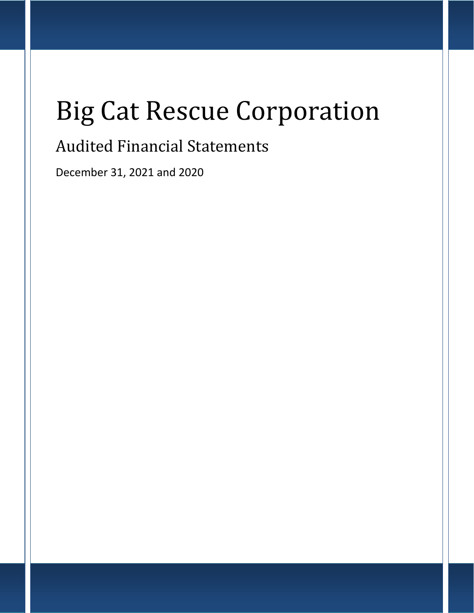2232 Page Rd. Suite 101 Durham, NC 27703 1301 66th Street North St. Petersburg, FL 33710 Phone (919) 598-1120 5201 W Kennedy Blvd Suite 620 Tampa, FL 33609

WWW.FRSCPA.COM in the control of the control of the control of the control of the control of the control of th

# Audited Financial Statements

December 31, 2021 and 2020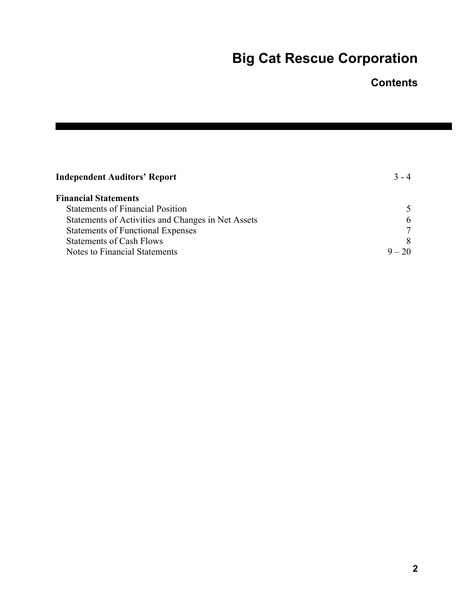### **Contents**

| <b>Independent Auditors' Report</b>                | $3 - 4$  |
|----------------------------------------------------|----------|
| <b>Financial Statements</b>                        |          |
| <b>Statements of Financial Position</b>            |          |
| Statements of Activities and Changes in Net Assets | 6        |
| <b>Statements of Functional Expenses</b>           | 7        |
| <b>Statements of Cash Flows</b>                    |          |
| Notes to Financial Statements                      | $9 - 20$ |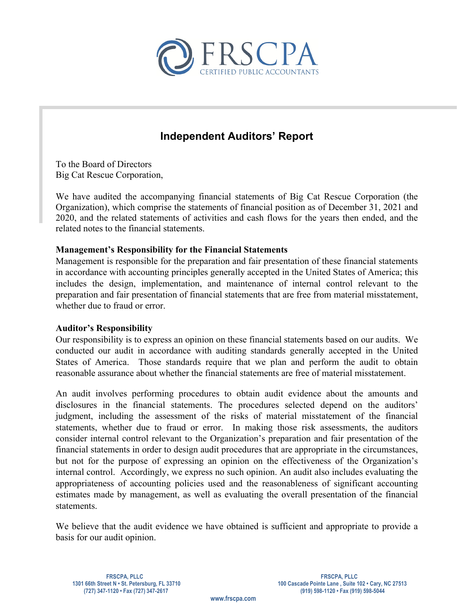

### **Independent Auditors' Report**

To the Board of Directors Big Cat Rescue Corporation,

We have audited the accompanying financial statements of Big Cat Rescue Corporation (the Organization), which comprise the statements of financial position as of December 31, 2021 and 2020, and the related statements of activities and cash flows for the years then ended, and the related notes to the financial statements.

#### **Management's Responsibility for the Financial Statements**

Management is responsible for the preparation and fair presentation of these financial statements in accordance with accounting principles generally accepted in the United States of America; this includes the design, implementation, and maintenance of internal control relevant to the preparation and fair presentation of financial statements that are free from material misstatement, whether due to fraud or error.

#### **Auditor's Responsibility**

Our responsibility is to express an opinion on these financial statements based on our audits. We conducted our audit in accordance with auditing standards generally accepted in the United States of America. Those standards require that we plan and perform the audit to obtain reasonable assurance about whether the financial statements are free of material misstatement.

An audit involves performing procedures to obtain audit evidence about the amounts and disclosures in the financial statements. The procedures selected depend on the auditors' judgment, including the assessment of the risks of material misstatement of the financial statements, whether due to fraud or error. In making those risk assessments, the auditors consider internal control relevant to the Organization's preparation and fair presentation of the financial statements in order to design audit procedures that are appropriate in the circumstances, but not for the purpose of expressing an opinion on the effectiveness of the Organization's internal control. Accordingly, we express no such opinion. An audit also includes evaluating the appropriateness of accounting policies used and the reasonableness of significant accounting estimates made by management, as well as evaluating the overall presentation of the financial statements.

We believe that the audit evidence we have obtained is sufficient and appropriate to provide a basis for our audit opinion.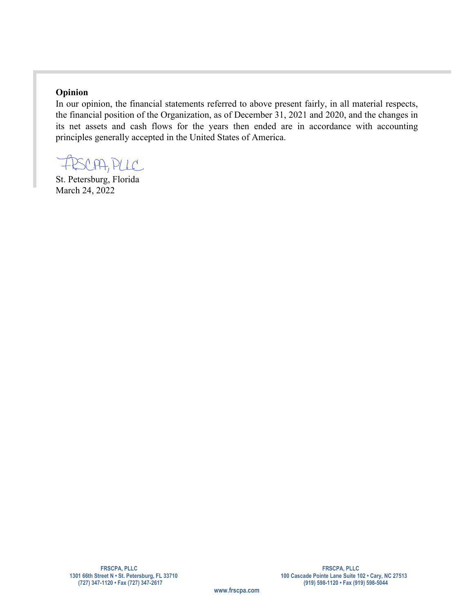#### **Opinion**

In our opinion, the financial statements referred to above present fairly, in all material respects, the financial position of the Organization, as of December 31, 2021 and 2020, and the changes in its net assets and cash flows for the years then ended are in accordance with accounting principles generally accepted in the United States of America.

SCAA, PLLC

St. Petersburg, Florida March 24, 2022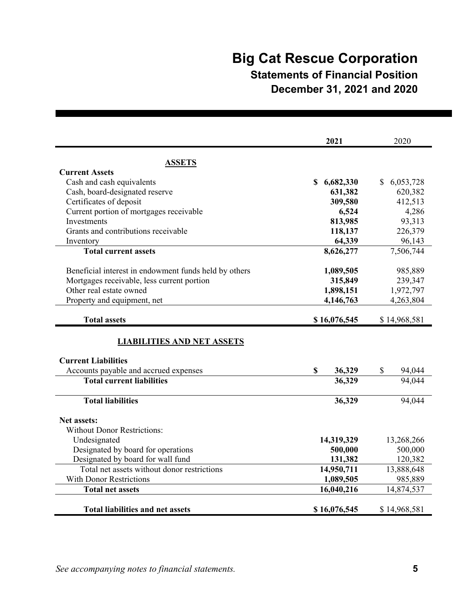### **Statements of Financial Position December 31, 2021 and 2020**

|                                                       | 2021                  | 2020            |
|-------------------------------------------------------|-----------------------|-----------------|
|                                                       |                       |                 |
| <b>ASSETS</b>                                         |                       |                 |
| <b>Current Assets</b>                                 |                       |                 |
| Cash and cash equivalents                             | S<br>6,682,330        | 6,053,728<br>S. |
| Cash, board-designated reserve                        | 631,382               | 620,382         |
| Certificates of deposit                               | 309,580               | 412,513         |
| Current portion of mortgages receivable               | 6,524                 | 4,286           |
| Investments                                           | 813,985               | 93,313          |
| Grants and contributions receivable                   | 118,137               | 226,379         |
| Inventory                                             | 64,339                | 96,143          |
| <b>Total current assets</b>                           | 8,626,277             | 7,506,744       |
| Beneficial interest in endowment funds held by others | 1,089,505             | 985,889         |
| Mortgages receivable, less current portion            | 315,849               | 239,347         |
| Other real estate owned                               | 1,898,151             | 1,972,797       |
| Property and equipment, net                           | 4,146,763             | 4,263,804       |
|                                                       |                       |                 |
| <b>Total assets</b>                                   | \$16,076,545          | \$14,968,581    |
| <b>LIABILITIES AND NET ASSETS</b>                     |                       |                 |
|                                                       |                       |                 |
| <b>Current Liabilities</b>                            |                       |                 |
| Accounts payable and accrued expenses                 | $\mathbf S$<br>36,329 | \$<br>94,044    |
| <b>Total current liabilities</b>                      | 36,329                | 94,044          |
|                                                       |                       |                 |
| <b>Total liabilities</b>                              | 36,329                | 94,044          |
| <b>Net assets:</b>                                    |                       |                 |
| <b>Without Donor Restrictions:</b>                    |                       |                 |
| Undesignated                                          | 14,319,329            | 13,268,266      |
| Designated by board for operations                    | 500,000               | 500,000         |
| Designated by board for wall fund                     | 131,382               | 120,382         |
| Total net assets without donor restrictions           | 14,950,711            | 13,888,648      |
| <b>With Donor Restrictions</b>                        | 1,089,505             | 985,889         |
| <b>Total net assets</b>                               | 16,040,216            | 14,874,537      |
| <b>Total liabilities and net assets</b>               | \$16,076,545          | \$14,968,581    |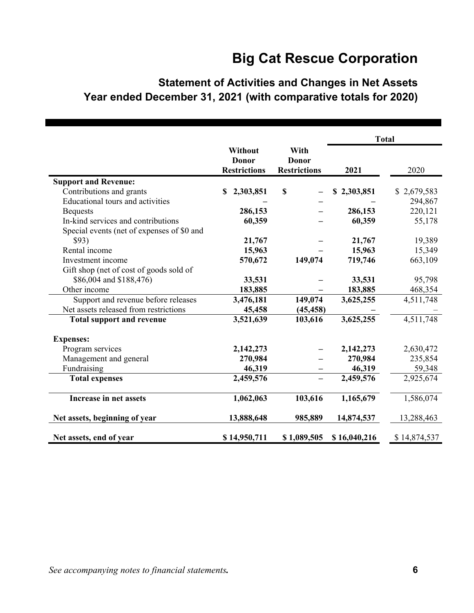### **Statement of Activities and Changes in Net Assets Year ended December 31, 2021 (with comparative totals for 2020)**

|                                            |                                         |                                      |              | <b>Total</b> |
|--------------------------------------------|-----------------------------------------|--------------------------------------|--------------|--------------|
|                                            | Without<br>Donor<br><b>Restrictions</b> | With<br>Donor<br><b>Restrictions</b> | 2021         | 2020         |
| <b>Support and Revenue:</b>                |                                         |                                      |              |              |
| Contributions and grants                   | \$<br>2,303,851                         | $\mathbf S$                          | \$2,303,851  | \$2,679,583  |
| Educational tours and activities           |                                         |                                      |              | 294,867      |
| <b>Bequests</b>                            | 286,153                                 |                                      | 286,153      | 220,121      |
| In-kind services and contributions         | 60,359                                  |                                      | 60,359       | 55,178       |
| Special events (net of expenses of \$0 and |                                         |                                      |              |              |
| \$93)                                      | 21,767                                  |                                      | 21,767       | 19,389       |
| Rental income                              | 15,963                                  |                                      | 15,963       | 15,349       |
| Investment income                          | 570,672                                 | 149,074                              | 719,746      | 663,109      |
| Gift shop (net of cost of goods sold of    |                                         |                                      |              |              |
| \$86,004 and \$188,476)                    | 33,531                                  |                                      | 33,531       | 95,798       |
| Other income                               | 183,885                                 |                                      | 183,885      | 468,354      |
| Support and revenue before releases        | 3,476,181                               | 149,074                              | 3,625,255    | 4,511,748    |
| Net assets released from restrictions      | 45,458                                  | (45, 458)                            |              |              |
| <b>Total support and revenue</b>           | 3,521,639                               | 103,616                              | 3,625,255    | 4,511,748    |
| <b>Expenses:</b>                           |                                         |                                      |              |              |
| Program services                           | 2,142,273                               |                                      | 2,142,273    | 2,630,472    |
| Management and general                     | 270,984                                 |                                      | 270,984      | 235,854      |
| Fundraising                                | 46,319                                  |                                      | 46,319       | 59,348       |
| <b>Total expenses</b>                      | 2,459,576                               |                                      | 2,459,576    | 2,925,674    |
| Increase in net assets                     | 1,062,063                               | 103,616                              | 1,165,679    | 1,586,074    |
| Net assets, beginning of year              | 13,888,648                              | 985,889                              | 14,874,537   | 13,288,463   |
| Net assets, end of year                    | \$14,950,711                            | \$1,089,505                          | \$16,040,216 | \$14,874,537 |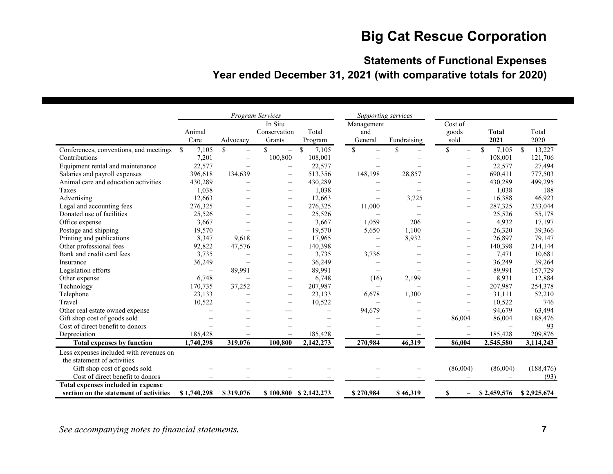### **Statements of Functional Expenses Year ended December 31, 2021 (with comparative totals for 2020)**

|                                         |                       |                                    | <b>Program Services</b>  |                          |                          | Supporting services      |                                |              |                         |
|-----------------------------------------|-----------------------|------------------------------------|--------------------------|--------------------------|--------------------------|--------------------------|--------------------------------|--------------|-------------------------|
|                                         |                       |                                    | In Situ                  |                          | Management               |                          | Cost of                        |              |                         |
|                                         | Animal                |                                    | Conservation             | Total                    | and                      |                          | goods                          | <b>Total</b> | Total                   |
|                                         | Care                  | Advocacy                           | Grants                   | Program                  | General                  | Fundraising              | sold                           | 2021         | 2020                    |
| Conferences, conventions, and meetings  | 7,105<br><sup>S</sup> | \$<br>$\equiv$                     | \$<br>$\equiv$           | 7,105<br>\$.             | \$.                      | \$<br>$\equiv$           | \$<br>$\overline{\phantom{0}}$ | \$.<br>7,105 | <sup>\$</sup><br>13,227 |
| Contributions                           | 7,201                 | $\overline{\phantom{m}}$           | 100,800                  | 108,001                  |                          | $\overline{\phantom{0}}$ | $\overline{\phantom{0}}$       | 108,001      | 121,706                 |
| Equipment rental and maintenance        | 22,577                |                                    | $\overline{\phantom{m}}$ | 22,577                   |                          |                          | $\overline{\phantom{0}}$       | 22,577       | 27,494                  |
| Salaries and payroll expenses           | 396,618               | 134,639                            | $\overline{\phantom{m}}$ | 513,356                  | 148,198                  | 28,857                   | $\equiv$                       | 690,411      | 777,503                 |
| Animal care and education activities    | 430,289               |                                    | $\overline{\phantom{m}}$ | 430,289                  |                          |                          | $\equiv$                       | 430,289      | 499,295                 |
| Taxes                                   | 1,038                 |                                    | $\overline{\phantom{m}}$ | 1,038                    |                          | $\overline{\phantom{m}}$ | $\overline{\phantom{0}}$       | 1,038        | 188                     |
| Advertising                             | 12,663                |                                    | $\overline{\phantom{m}}$ | 12,663                   |                          | 3,725                    | $\overline{\phantom{0}}$       | 16,388       | 46,923                  |
| Legal and accounting fees               | 276,325               |                                    | $\overline{\phantom{m}}$ | 276,325                  | 11,000                   |                          | $\equiv$                       | 287,325      | 233,044                 |
| Donated use of facilities               | 25,526                |                                    | $\overline{\phantom{m}}$ | 25,526                   |                          |                          |                                | 25,526       | 55,178                  |
| Office expense                          | 3,667                 |                                    | $\overline{\phantom{m}}$ | 3,667                    | 1,059                    | 206                      |                                | 4,932        | 17,197                  |
| Postage and shipping                    | 19,570                |                                    | $\overline{\phantom{m}}$ | 19,570                   | 5,650                    | 1,100                    | $\overline{\phantom{0}}$       | 26,320       | 39,366                  |
| Printing and publications               | 8,347                 | 9,618                              | $\overline{\phantom{m}}$ | 17,965                   |                          | 8,932                    | $\overline{\phantom{0}}$       | 26,897       | 79,147                  |
| Other professional fees                 | 92,822                | 47,576                             | $\overline{\phantom{m}}$ | 140,398                  |                          |                          | $\frac{1}{2}$                  | 140,398      | 214,144                 |
| Bank and credit card fees               | 3,735                 |                                    | $\overline{\phantom{a}}$ | 3,735                    | 3,736                    |                          | $\overline{\phantom{0}}$       | 7,471        | 10,681                  |
| Insurance                               | 36,249                |                                    | $\sim$                   | 36,249                   |                          |                          | $\equiv$                       | 36,249       | 39,264                  |
| Legislation efforts                     |                       | 89,991<br>$\overline{\phantom{0}}$ | $\overline{\phantom{m}}$ | 89,991                   |                          |                          | $\equiv$                       | 89,991       | 157,729                 |
| Other expense                           | 6,748                 | $\sim$                             | $\overline{\phantom{m}}$ | 6,748                    | (16)                     | 2,199                    | $\overline{\phantom{0}}$       | 8,931        | 12,884                  |
| Technology                              | 170,735               | 37,252                             | $\overline{\phantom{m}}$ | 207,987                  | $\overline{\phantom{0}}$ |                          | $\overline{\phantom{0}}$       | 207,987      | 254,378                 |
| Telephone                               | 23,133                | $\equiv$                           | $\overline{\phantom{m}}$ | 23,133                   | 6,678                    | 1,300                    | $\equiv$                       | 31,111       | 52,210                  |
| Travel                                  | 10,522                |                                    | $\sim$                   | 10,522                   |                          | $\overline{\phantom{0}}$ | $\overline{\phantom{0}}$       | 10,522       | 746                     |
| Other real estate owned expense         |                       |                                    |                          | $\overline{\phantom{0}}$ | 94,679                   |                          | $\overline{\phantom{m}}$       | 94,679       | 63,494                  |
| Gift shop cost of goods sold            |                       |                                    |                          |                          |                          |                          | 86,004                         | 86,004       | 188,476                 |
| Cost of direct benefit to donors        |                       |                                    |                          |                          |                          |                          |                                |              | 93                      |
| Depreciation                            | 185,428               |                                    |                          | 185,428                  |                          |                          |                                | 185,428      | 209,876                 |
| <b>Total expenses by function</b>       | 1,740,298             | 319,076                            | 100,800                  | 2,142,273                | 270,984                  | 46,319                   | 86,004                         | 2,545,580    | 3,114,243               |
| Less expenses included with revenues on |                       |                                    |                          |                          |                          |                          |                                |              |                         |
| the statement of activities             |                       |                                    |                          |                          |                          |                          |                                |              |                         |
| Gift shop cost of goods sold            |                       |                                    |                          |                          |                          |                          | (86,004)                       | (86,004)     | (188, 476)              |
| Cost of direct benefit to donors        |                       |                                    |                          |                          |                          |                          |                                |              | (93)                    |
| Total expenses included in expense      |                       |                                    |                          |                          |                          |                          |                                |              |                         |
| section on the statement of activities  | \$1,740,298           | \$319,076                          |                          | \$100,800 \$2,142,273    | \$270,984                | \$46,319                 | \$                             | \$2,459,576  | \$2,925,674             |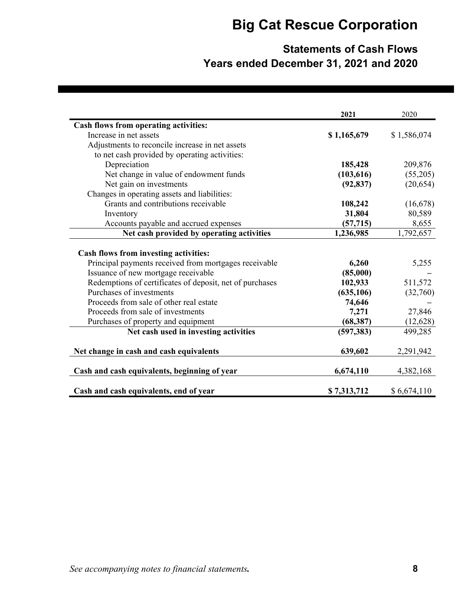### **Statements of Cash Flows Years ended December 31, 2021 and 2020**

|                                                          | 2021        | 2020        |
|----------------------------------------------------------|-------------|-------------|
| Cash flows from operating activities:                    |             |             |
| Increase in net assets                                   | \$1,165,679 | \$1,586,074 |
| Adjustments to reconcile increase in net assets          |             |             |
| to net cash provided by operating activities:            |             |             |
| Depreciation                                             | 185,428     | 209,876     |
| Net change in value of endowment funds                   | (103, 616)  | (55,205)    |
| Net gain on investments                                  | (92, 837)   | (20, 654)   |
| Changes in operating assets and liabilities:             |             |             |
| Grants and contributions receivable                      | 108,242     | (16, 678)   |
| Inventory                                                | 31,804      | 80,589      |
| Accounts payable and accrued expenses                    | (57, 715)   | 8,655       |
| Net cash provided by operating activities                | 1,236,985   | 1,792,657   |
| Cash flows from investing activities:                    |             |             |
| Principal payments received from mortgages receivable    | 6,260       | 5,255       |
| Issuance of new mortgage receivable                      | (85,000)    |             |
| Redemptions of certificates of deposit, net of purchases | 102,933     | 511,572     |
| Purchases of investments                                 | (635, 106)  | (32,760)    |
| Proceeds from sale of other real estate                  | 74,646      |             |
| Proceeds from sale of investments                        | 7,271       | 27,846      |
| Purchases of property and equipment                      | (68, 387)   | (12, 628)   |
| Net cash used in investing activities                    | (597, 383)  | 499,285     |
| Net change in cash and cash equivalents                  | 639,602     | 2,291,942   |
| Cash and cash equivalents, beginning of year             | 6,674,110   | 4,382,168   |
| Cash and cash equivalents, end of year                   | \$7,313,712 | \$6,674,110 |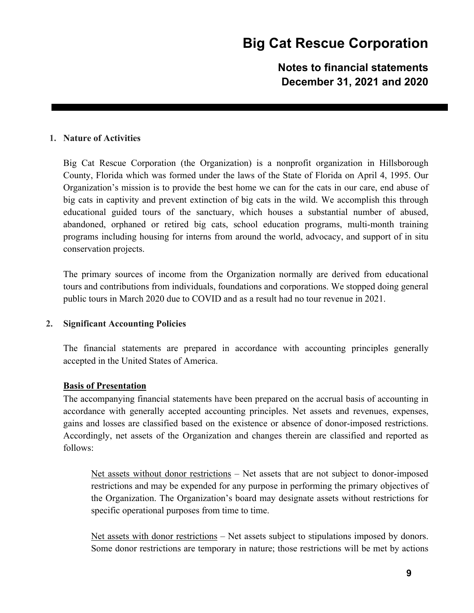**Notes to financial statements December 31, 2021 and 2020** 

#### **1. Nature of Activities**

Big Cat Rescue Corporation (the Organization) is a nonprofit organization in Hillsborough County, Florida which was formed under the laws of the State of Florida on April 4, 1995. Our Organization's mission is to provide the best home we can for the cats in our care, end abuse of big cats in captivity and prevent extinction of big cats in the wild. We accomplish this through educational guided tours of the sanctuary, which houses a substantial number of abused, abandoned, orphaned or retired big cats, school education programs, multi-month training programs including housing for interns from around the world, advocacy, and support of in situ conservation projects.

The primary sources of income from the Organization normally are derived from educational tours and contributions from individuals, foundations and corporations. We stopped doing general public tours in March 2020 due to COVID and as a result had no tour revenue in 2021.

#### **2. Significant Accounting Policies**

The financial statements are prepared in accordance with accounting principles generally accepted in the United States of America.

#### **Basis of Presentation**

The accompanying financial statements have been prepared on the accrual basis of accounting in accordance with generally accepted accounting principles. Net assets and revenues, expenses, gains and losses are classified based on the existence or absence of donor-imposed restrictions. Accordingly, net assets of the Organization and changes therein are classified and reported as follows:

Net assets without donor restrictions – Net assets that are not subject to donor-imposed restrictions and may be expended for any purpose in performing the primary objectives of the Organization. The Organization's board may designate assets without restrictions for specific operational purposes from time to time.

Net assets with donor restrictions – Net assets subject to stipulations imposed by donors. Some donor restrictions are temporary in nature; those restrictions will be met by actions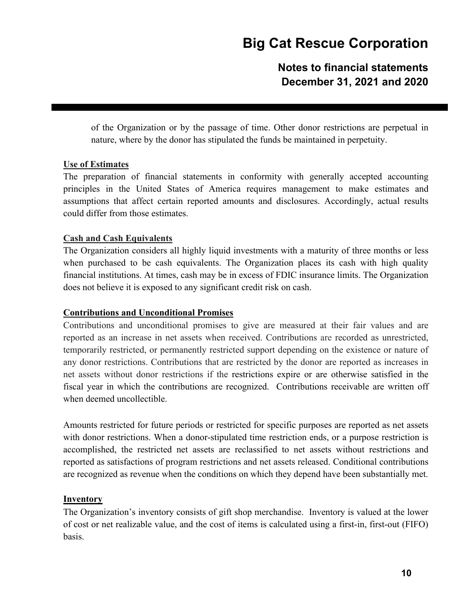### **Notes to financial statements December 31, 2021 and 2020**

of the Organization or by the passage of time. Other donor restrictions are perpetual in nature, where by the donor has stipulated the funds be maintained in perpetuity.

#### **Use of Estimates**

The preparation of financial statements in conformity with generally accepted accounting principles in the United States of America requires management to make estimates and assumptions that affect certain reported amounts and disclosures. Accordingly, actual results could differ from those estimates.

#### **Cash and Cash Equivalents**

The Organization considers all highly liquid investments with a maturity of three months or less when purchased to be cash equivalents. The Organization places its cash with high quality financial institutions. At times, cash may be in excess of FDIC insurance limits. The Organization does not believe it is exposed to any significant credit risk on cash.

#### **Contributions and Unconditional Promises**

Contributions and unconditional promises to give are measured at their fair values and are reported as an increase in net assets when received. Contributions are recorded as unrestricted, temporarily restricted, or permanently restricted support depending on the existence or nature of any donor restrictions. Contributions that are restricted by the donor are reported as increases in net assets without donor restrictions if the restrictions expire or are otherwise satisfied in the fiscal year in which the contributions are recognized. Contributions receivable are written off when deemed uncollectible.

Amounts restricted for future periods or restricted for specific purposes are reported as net assets with donor restrictions. When a donor-stipulated time restriction ends, or a purpose restriction is accomplished, the restricted net assets are reclassified to net assets without restrictions and reported as satisfactions of program restrictions and net assets released. Conditional contributions are recognized as revenue when the conditions on which they depend have been substantially met.

#### **Inventory**

The Organization's inventory consists of gift shop merchandise. Inventory is valued at the lower of cost or net realizable value, and the cost of items is calculated using a first-in, first-out (FIFO) basis.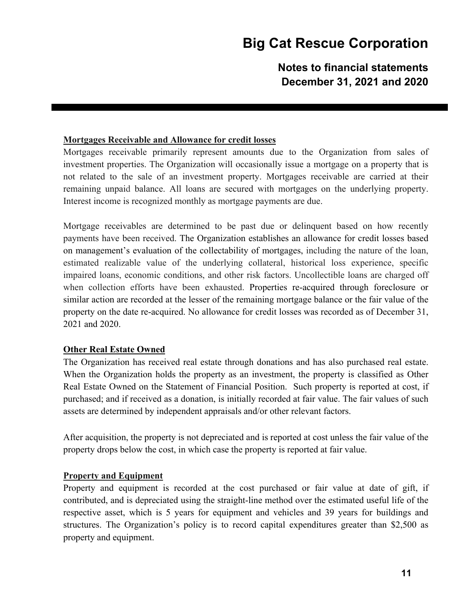**Notes to financial statements December 31, 2021 and 2020** 

#### **Mortgages Receivable and Allowance for credit losses**

Mortgages receivable primarily represent amounts due to the Organization from sales of investment properties. The Organization will occasionally issue a mortgage on a property that is not related to the sale of an investment property. Mortgages receivable are carried at their remaining unpaid balance. All loans are secured with mortgages on the underlying property. Interest income is recognized monthly as mortgage payments are due.

Mortgage receivables are determined to be past due or delinquent based on how recently payments have been received. The Organization establishes an allowance for credit losses based on management's evaluation of the collectability of mortgages, including the nature of the loan, estimated realizable value of the underlying collateral, historical loss experience, specific impaired loans, economic conditions, and other risk factors. Uncollectible loans are charged off when collection efforts have been exhausted. Properties re-acquired through foreclosure or similar action are recorded at the lesser of the remaining mortgage balance or the fair value of the property on the date re-acquired. No allowance for credit losses was recorded as of December 31, 2021 and 2020.

#### **Other Real Estate Owned**

The Organization has received real estate through donations and has also purchased real estate. When the Organization holds the property as an investment, the property is classified as Other Real Estate Owned on the Statement of Financial Position. Such property is reported at cost, if purchased; and if received as a donation, is initially recorded at fair value. The fair values of such assets are determined by independent appraisals and/or other relevant factors.

After acquisition, the property is not depreciated and is reported at cost unless the fair value of the property drops below the cost, in which case the property is reported at fair value.

#### **Property and Equipment**

Property and equipment is recorded at the cost purchased or fair value at date of gift, if contributed, and is depreciated using the straight-line method over the estimated useful life of the respective asset, which is 5 years for equipment and vehicles and 39 years for buildings and structures. The Organization's policy is to record capital expenditures greater than \$2,500 as property and equipment.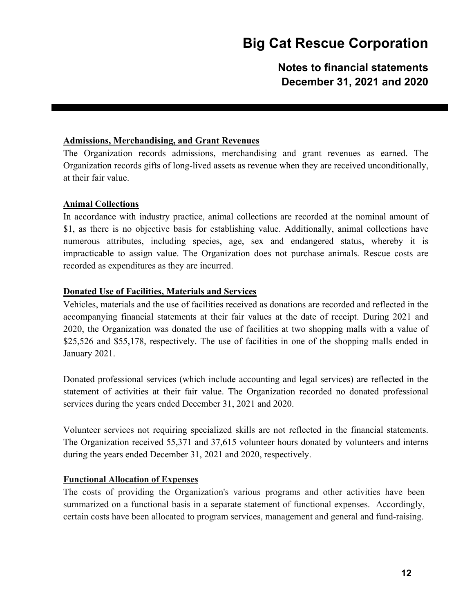**Notes to financial statements December 31, 2021 and 2020** 

#### **Admissions, Merchandising, and Grant Revenues**

The Organization records admissions, merchandising and grant revenues as earned. The Organization records gifts of long-lived assets as revenue when they are received unconditionally, at their fair value.

#### **Animal Collections**

In accordance with industry practice, animal collections are recorded at the nominal amount of \$1, as there is no objective basis for establishing value. Additionally, animal collections have numerous attributes, including species, age, sex and endangered status, whereby it is impracticable to assign value. The Organization does not purchase animals. Rescue costs are recorded as expenditures as they are incurred.

#### **Donated Use of Facilities, Materials and Services**

Vehicles, materials and the use of facilities received as donations are recorded and reflected in the accompanying financial statements at their fair values at the date of receipt. During 2021 and 2020, the Organization was donated the use of facilities at two shopping malls with a value of \$25,526 and \$55,178, respectively. The use of facilities in one of the shopping malls ended in January 2021.

Donated professional services (which include accounting and legal services) are reflected in the statement of activities at their fair value. The Organization recorded no donated professional services during the years ended December 31, 2021 and 2020.

Volunteer services not requiring specialized skills are not reflected in the financial statements. The Organization received 55,371 and 37,615 volunteer hours donated by volunteers and interns during the years ended December 31, 2021 and 2020, respectively.

#### **Functional Allocation of Expenses**

The costs of providing the Organization's various programs and other activities have been summarized on a functional basis in a separate statement of functional expenses. Accordingly, certain costs have been allocated to program services, management and general and fund-raising.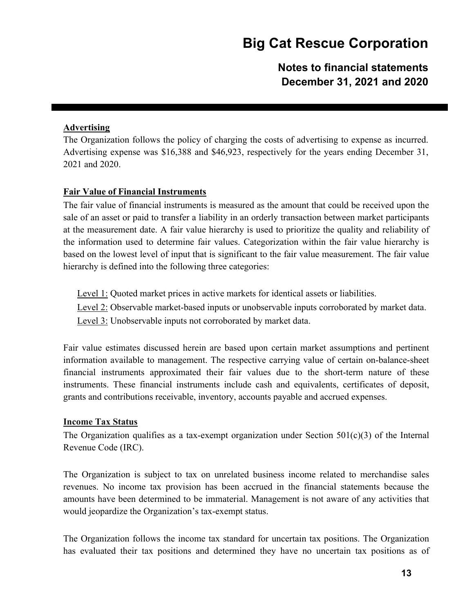**Notes to financial statements December 31, 2021 and 2020** 

#### **Advertising**

The Organization follows the policy of charging the costs of advertising to expense as incurred. Advertising expense was \$16,388 and \$46,923, respectively for the years ending December 31, 2021 and 2020.

#### **Fair Value of Financial Instruments**

The fair value of financial instruments is measured as the amount that could be received upon the sale of an asset or paid to transfer a liability in an orderly transaction between market participants at the measurement date. A fair value hierarchy is used to prioritize the quality and reliability of the information used to determine fair values. Categorization within the fair value hierarchy is based on the lowest level of input that is significant to the fair value measurement. The fair value hierarchy is defined into the following three categories:

Level 1: Quoted market prices in active markets for identical assets or liabilities.

- Level 2: Observable market-based inputs or unobservable inputs corroborated by market data.
- Level 3: Unobservable inputs not corroborated by market data.

Fair value estimates discussed herein are based upon certain market assumptions and pertinent information available to management. The respective carrying value of certain on-balance-sheet financial instruments approximated their fair values due to the short-term nature of these instruments. These financial instruments include cash and equivalents, certificates of deposit, grants and contributions receivable, inventory, accounts payable and accrued expenses.

#### **Income Tax Status**

The Organization qualifies as a tax-exempt organization under Section  $501(c)(3)$  of the Internal Revenue Code (IRC).

The Organization is subject to tax on unrelated business income related to merchandise sales revenues. No income tax provision has been accrued in the financial statements because the amounts have been determined to be immaterial. Management is not aware of any activities that would jeopardize the Organization's tax-exempt status.

The Organization follows the income tax standard for uncertain tax positions. The Organization has evaluated their tax positions and determined they have no uncertain tax positions as of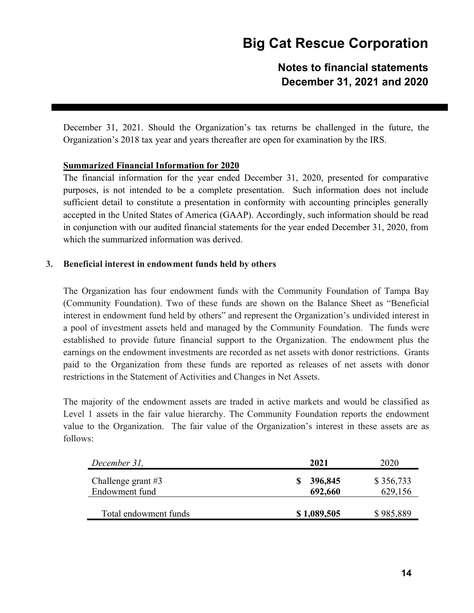### **Notes to financial statements December 31, 2021 and 2020**

December 31, 2021. Should the Organization's tax returns be challenged in the future, the Organization's 2018 tax year and years thereafter are open for examination by the IRS.

#### **Summarized Financial Information for 2020**

The financial information for the year ended December 31, 2020, presented for comparative purposes, is not intended to be a complete presentation. Such information does not include sufficient detail to constitute a presentation in conformity with accounting principles generally accepted in the United States of America (GAAP). Accordingly, such information should be read in conjunction with our audited financial statements for the year ended December 31, 2020, from which the summarized information was derived.

#### **3. Beneficial interest in endowment funds held by others**

The Organization has four endowment funds with the Community Foundation of Tampa Bay (Community Foundation). Two of these funds are shown on the Balance Sheet as "Beneficial interest in endowment fund held by others" and represent the Organization's undivided interest in a pool of investment assets held and managed by the Community Foundation. The funds were established to provide future financial support to the Organization. The endowment plus the earnings on the endowment investments are recorded as net assets with donor restrictions. Grants paid to the Organization from these funds are reported as releases of net assets with donor restrictions in the Statement of Activities and Changes in Net Assets.

The majority of the endowment assets are traded in active markets and would be classified as Level 1 assets in the fair value hierarchy. The Community Foundation reports the endowment value to the Organization. The fair value of the Organization's interest in these assets are as follows:

| December 31,          | 2021        | 2020      |
|-----------------------|-------------|-----------|
| Challenge grant $#3$  | 396,845     | \$356,733 |
| Endowment fund        | 692,660     | 629,156   |
| Total endowment funds | \$1,089,505 | \$985,889 |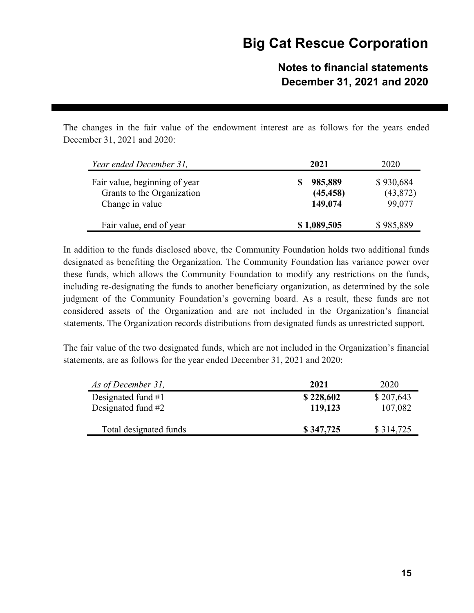### **Notes to financial statements December 31, 2021 and 2020**

The changes in the fair value of the endowment interest are as follows for the years ended December 31, 2021 and 2020:

| Year ended December 31,                                                        | 2021                            | 2020                             |
|--------------------------------------------------------------------------------|---------------------------------|----------------------------------|
| Fair value, beginning of year<br>Grants to the Organization<br>Change in value | 985,889<br>(45, 458)<br>149,074 | \$930,684<br>(43, 872)<br>99,077 |
| Fair value, end of year                                                        | \$1,089,505                     | \$985,889                        |

In addition to the funds disclosed above, the Community Foundation holds two additional funds designated as benefiting the Organization. The Community Foundation has variance power over these funds, which allows the Community Foundation to modify any restrictions on the funds, including re-designating the funds to another beneficiary organization, as determined by the sole judgment of the Community Foundation's governing board. As a result, these funds are not considered assets of the Organization and are not included in the Organization's financial statements. The Organization records distributions from designated funds as unrestricted support.

The fair value of the two designated funds, which are not included in the Organization's financial statements, are as follows for the year ended December 31, 2021 and 2020:

| As of December 31,     | 2021      | 2020      |
|------------------------|-----------|-----------|
| Designated fund $#1$   | \$228,602 | \$207,643 |
| Designated fund $#2$   | 119,123   | 107,082   |
| Total designated funds | \$347,725 | \$314,725 |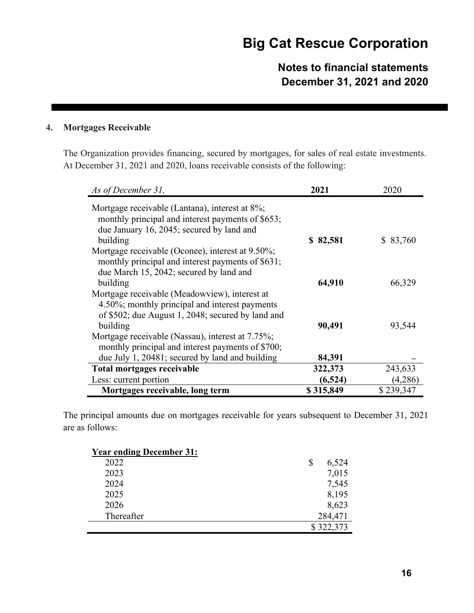**Notes to financial statements December 31, 2021 and 2020** 

#### **4. Mortgages Receivable**

The Organization provides financing, secured by mortgages, for sales of real estate investments. At December 31, 2021 and 2020, loans receivable consists of the following:

| As of December 31,                                                                                                                                           | 2021      | 2020      |
|--------------------------------------------------------------------------------------------------------------------------------------------------------------|-----------|-----------|
| Mortgage receivable (Lantana), interest at 8%;<br>monthly principal and interest payments of \$653;<br>due January 16, 2045; secured by land and<br>building | \$82,581  | \$ 83,760 |
| Mortgage receivable (Oconee), interest at 9.50%;<br>monthly principal and interest payments of \$631;<br>due March 15, 2042; secured by land and             |           |           |
| building                                                                                                                                                     | 64,910    | 66,329    |
| Mortgage receivable (Meadowview), interest at<br>4.50%; monthly principal and interest payments<br>of \$502; due August 1, 2048; secured by land and         |           |           |
| building                                                                                                                                                     | 90,491    | 93,544    |
| Mortgage receivable (Nassau), interest at 7.75%;<br>monthly principal and interest payments of \$700;                                                        |           |           |
| due July 1, 20481; secured by land and building                                                                                                              | 84,391    |           |
| <b>Total mortgages receivable</b>                                                                                                                            | 322,373   | 243,633   |
| Less: current portion                                                                                                                                        | (6, 524)  | (4,286)   |
| Mortgages receivable, long term                                                                                                                              | \$315,849 | \$239,347 |

The principal amounts due on mortgages receivable for years subsequent to December 31, 2021 are as follows:

| <b>Year ending December 31:</b> |             |
|---------------------------------|-------------|
| 2022                            | 6,524<br>\$ |
| 2023                            | 7,015       |
| 2024                            | 7,545       |
| 2025                            | 8,195       |
| 2026                            | 8,623       |
| Thereafter                      | 284,471     |
|                                 | \$322,373   |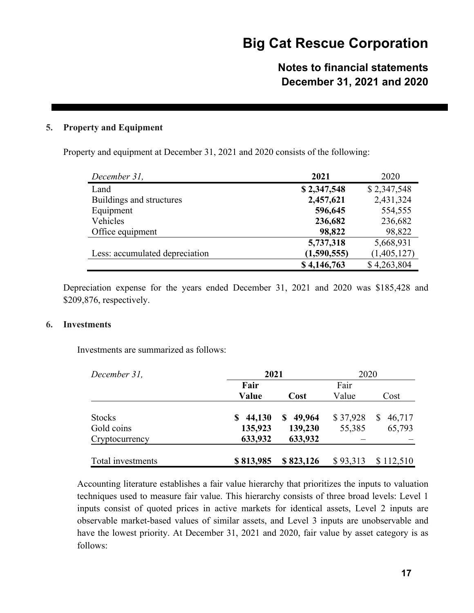### **Notes to financial statements December 31, 2021 and 2020**

#### **5. Property and Equipment**

Property and equipment at December 31, 2021 and 2020 consists of the following:

| December 31,                   | 2021        | 2020        |
|--------------------------------|-------------|-------------|
| Land                           | \$2,347,548 | \$2,347,548 |
| Buildings and structures       | 2,457,621   | 2,431,324   |
| Equipment                      | 596,645     | 554,555     |
| Vehicles                       | 236,682     | 236,682     |
| Office equipment               | 98,822      | 98,822      |
|                                | 5,737,318   | 5,668,931   |
| Less: accumulated depreciation | (1,590,555) | (1,405,127) |
|                                | \$4,146,763 | \$4,263,804 |

Depreciation expense for the years ended December 31, 2021 and 2020 was \$185,428 and \$209,876, respectively.

#### **6. Investments**

Investments are summarized as follows:

| December 31,      | 2021        |             | 2020     |              |
|-------------------|-------------|-------------|----------|--------------|
|                   | Fair        |             | Fair     |              |
|                   | Value       | Cost        | Value    | Cost         |
| <b>Stocks</b>     | 44,130<br>S | 49,964<br>S | \$37,928 | 46,717<br>\$ |
| Gold coins        | 135,923     | 139,230     | 55,385   | 65,793       |
| Cryptocurrency    | 633,932     | 633,932     |          |              |
| Total investments | \$813,985   | \$823,126   | \$93,313 | \$112,510    |

Accounting literature establishes a fair value hierarchy that prioritizes the inputs to valuation techniques used to measure fair value. This hierarchy consists of three broad levels: Level 1 inputs consist of quoted prices in active markets for identical assets, Level 2 inputs are observable market-based values of similar assets, and Level 3 inputs are unobservable and have the lowest priority. At December 31, 2021 and 2020, fair value by asset category is as follows: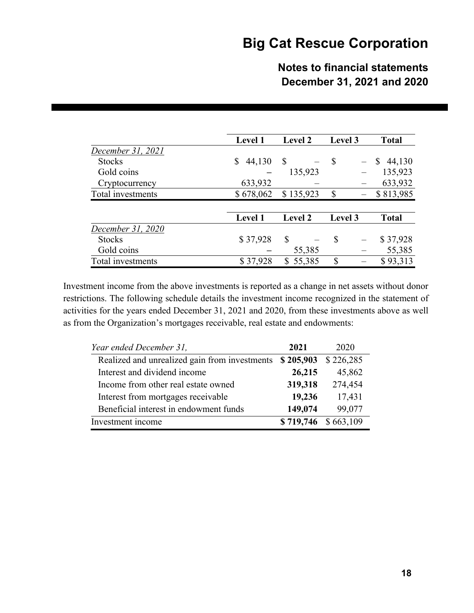### **Notes to financial statements December 31, 2021 and 2020**

|                   | <b>Level 1</b> | <b>Level 2</b>           | Level 3       | <b>Total</b>           |
|-------------------|----------------|--------------------------|---------------|------------------------|
| December 31, 2021 |                |                          |               |                        |
| <b>Stocks</b>     | 44,130         | $\mathbb{S}$             | \$            | 44,130<br><sup>S</sup> |
| Gold coins        |                | 135,923                  |               | 135,923                |
| Cryptocurrency    | 633,932        |                          |               | 633,932                |
| Total investments | \$678,062      | \$135,923                | \$            | \$813,985              |
|                   |                |                          |               |                        |
|                   | <b>Level 1</b> | <b>Level 2</b>           | Level 3       | <b>Total</b>           |
| December 31, 2020 |                |                          |               |                        |
| <b>Stocks</b>     | \$37,928       | \$                       | $\mathcal{S}$ | \$37,928               |
| Gold coins        |                | 55,385                   |               | 55,385                 |
| Total investments | \$37,928       | 55,385<br>$\mathbb{S}^-$ | \$            | \$93,313               |

Investment income from the above investments is reported as a change in net assets without donor restrictions. The following schedule details the investment income recognized in the statement of activities for the years ended December 31, 2021 and 2020, from these investments above as well as from the Organization's mortgages receivable, real estate and endowments:

| Year ended December 31,                       | 2021      | 2020      |
|-----------------------------------------------|-----------|-----------|
| Realized and unrealized gain from investments | \$205,903 | \$226,285 |
| Interest and dividend income                  | 26,215    | 45,862    |
| Income from other real estate owned           | 319,318   | 274,454   |
| Interest from mortgages receivable            | 19,236    | 17,431    |
| Beneficial interest in endowment funds        | 149,074   | 99,077    |
| Investment income                             | \$719,746 | \$663,109 |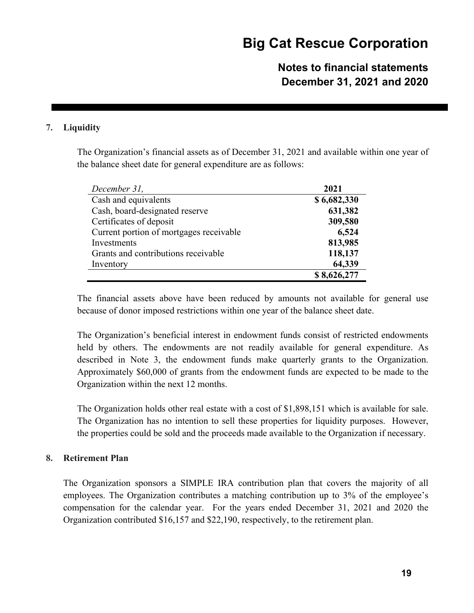**Notes to financial statements December 31, 2021 and 2020** 

#### **7. Liquidity**

The Organization's financial assets as of December 31, 2021 and available within one year of the balance sheet date for general expenditure are as follows:

| December 31,                            | 2021        |
|-----------------------------------------|-------------|
| Cash and equivalents                    | \$6,682,330 |
| Cash, board-designated reserve          | 631,382     |
| Certificates of deposit                 | 309,580     |
| Current portion of mortgages receivable | 6,524       |
| Investments                             | 813,985     |
| Grants and contributions receivable     | 118,137     |
| Inventory                               | 64,339      |
|                                         | \$8,626,277 |

The financial assets above have been reduced by amounts not available for general use because of donor imposed restrictions within one year of the balance sheet date.

The Organization's beneficial interest in endowment funds consist of restricted endowments held by others. The endowments are not readily available for general expenditure. As described in Note 3, the endowment funds make quarterly grants to the Organization. Approximately \$60,000 of grants from the endowment funds are expected to be made to the Organization within the next 12 months.

The Organization holds other real estate with a cost of \$1,898,151 which is available for sale. The Organization has no intention to sell these properties for liquidity purposes. However, the properties could be sold and the proceeds made available to the Organization if necessary.

#### **8. Retirement Plan**

The Organization sponsors a SIMPLE IRA contribution plan that covers the majority of all employees. The Organization contributes a matching contribution up to 3% of the employee's compensation for the calendar year. For the years ended December 31, 2021 and 2020 the Organization contributed \$16,157 and \$22,190, respectively, to the retirement plan.